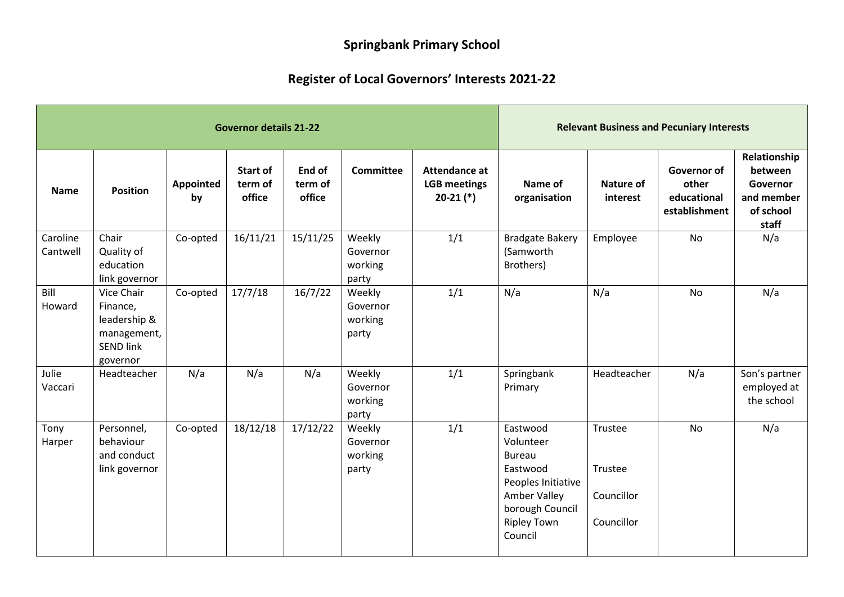## **Springbank Primary School**

## **Register of Local Governors' Interests 2021-22**

| <b>Governor details 21-22</b> |                                                                                       |                 |                                      |                             |                                        |                                                       | <b>Relevant Business and Pecuniary Interests</b>                                                                                             |                                                |                                                      |                                                                         |
|-------------------------------|---------------------------------------------------------------------------------------|-----------------|--------------------------------------|-----------------------------|----------------------------------------|-------------------------------------------------------|----------------------------------------------------------------------------------------------------------------------------------------------|------------------------------------------------|------------------------------------------------------|-------------------------------------------------------------------------|
| <b>Name</b>                   | <b>Position</b>                                                                       | Appointed<br>by | <b>Start of</b><br>term of<br>office | End of<br>term of<br>office | <b>Committee</b>                       | Attendance at<br><b>LGB</b> meetings<br>$20-21$ $(*)$ | Name of<br>organisation                                                                                                                      | Nature of<br>interest                          | Governor of<br>other<br>educational<br>establishment | Relationship<br>between<br>Governor<br>and member<br>of school<br>staff |
| Caroline<br>Cantwell          | Chair<br>Quality of<br>education<br>link governor                                     | Co-opted        | 16/11/21                             | 15/11/25                    | Weekly<br>Governor<br>working<br>party | 1/1                                                   | <b>Bradgate Bakery</b><br>(Samworth<br>Brothers)                                                                                             | Employee                                       | <b>No</b>                                            | N/a                                                                     |
| Bill<br>Howard                | Vice Chair<br>Finance,<br>leadership &<br>management,<br><b>SEND link</b><br>governor | Co-opted        | 17/7/18                              | 16/7/22                     | Weekly<br>Governor<br>working<br>party | 1/1                                                   | N/a                                                                                                                                          | N/a                                            | <b>No</b>                                            | N/a                                                                     |
| Julie<br>Vaccari              | Headteacher                                                                           | N/a             | N/a                                  | N/a                         | Weekly<br>Governor<br>working<br>party | 1/1                                                   | Springbank<br>Primary                                                                                                                        | Headteacher                                    | N/a                                                  | Son's partner<br>employed at<br>the school                              |
| Tony<br>Harper                | Personnel,<br>behaviour<br>and conduct<br>link governor                               | Co-opted        | 18/12/18                             | 17/12/22                    | Weekly<br>Governor<br>working<br>party | 1/1                                                   | Eastwood<br>Volunteer<br><b>Bureau</b><br>Eastwood<br>Peoples Initiative<br>Amber Valley<br>borough Council<br><b>Ripley Town</b><br>Council | Trustee<br>Trustee<br>Councillor<br>Councillor | <b>No</b>                                            | N/a                                                                     |